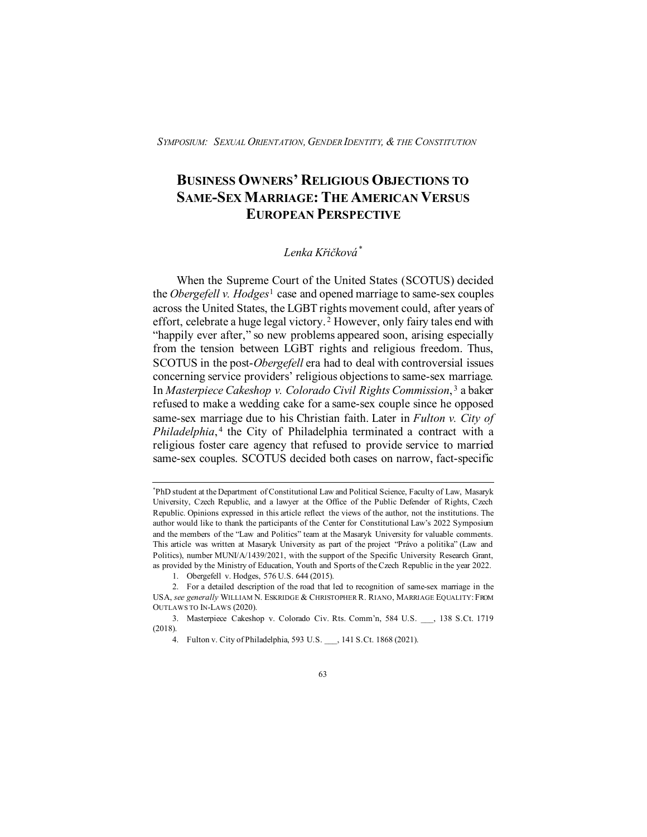# **BUSINESS OWNERS' RELIGIOUS OBJECTIONS TO SAME-SEX MARRIAGE: THE AMERICAN VERSUS EUROPEAN PERSPECTIVE**

# *Lenka Křičková[\\*](#page-0-0)*

When the Supreme Court of the United States (SCOTUS) decided the *Obergefell v. Hodges*[1](#page-0-1) case and opened marriage to same-sex couples across the United States, the LGBT rights movement could, after years of effort, celebrate a huge legal victory. [2](#page-0-2) However, only fairy tales end with "happily ever after," so new problems appeared soon, arising especially from the tension between LGBT rights and religious freedom. Thus, SCOTUS in the post-*Obergefell* era had to deal with controversial issues concerning service providers' religious objections to same-sex marriage. In *Masterpiece Cakeshop v. Colorado Civil Rights Commission*, [3](#page-0-3) a baker refused to make a wedding cake for a same-sex couple since he opposed same-sex marriage due to his Christian faith. Later in *Fulton v. City of Philadelphia*,<sup>[4](#page-0-4)</sup> the City of Philadelphia terminated a contract with a religious foster care agency that refused to provide service to married same-sex couples. SCOTUS decided both cases on narrow, fact-specific

<span id="page-0-0"></span><sup>\*</sup> PhD student at the Department of Constitutional Law and Political Science, Faculty of Law, Masaryk University, Czech Republic, and a lawyer at the Office of the Public Defender of Rights, Czech Republic. Opinions expressed in this article reflect the views of the author, not the institutions. The author would like to thank the participants of the Center for Constitutional Law's 2022 Symposium and the members of the "Law and Politics" team at the Masaryk University for valuable comments. This article was written at Masaryk University as part of the project "Právo a politika" (Law and Politics), number MUNI/A/1439/2021, with the support of the Specific University Research Grant, as provided by the Ministry of Education, Youth and Sports of the Czech Republic in the year 2022.

<sup>1.</sup> Obergefell v. Hodges, 576 U.S. 644 (2015).

<span id="page-0-2"></span><span id="page-0-1"></span><sup>2.</sup> For a detailed description of the road that led to recognition of same-sex marriage in the USA, *see generally* WILLIAM N. ESKRIDGE & CHRISTOPHER R. RIANO, MARRIAGE EQUALITY:FROM OUTLAWS TO IN-LAWS (2020).

<span id="page-0-4"></span><span id="page-0-3"></span><sup>3.</sup> Masterpiece Cakeshop v. Colorado Civ. Rts. Comm'n, 584 U.S. \_\_\_, 138 S.Ct. 1719 (2018).

<sup>4.</sup> Fulton v. City of Philadelphia, 593 U.S. \_\_\_, 141 S.Ct. 1868 (2021).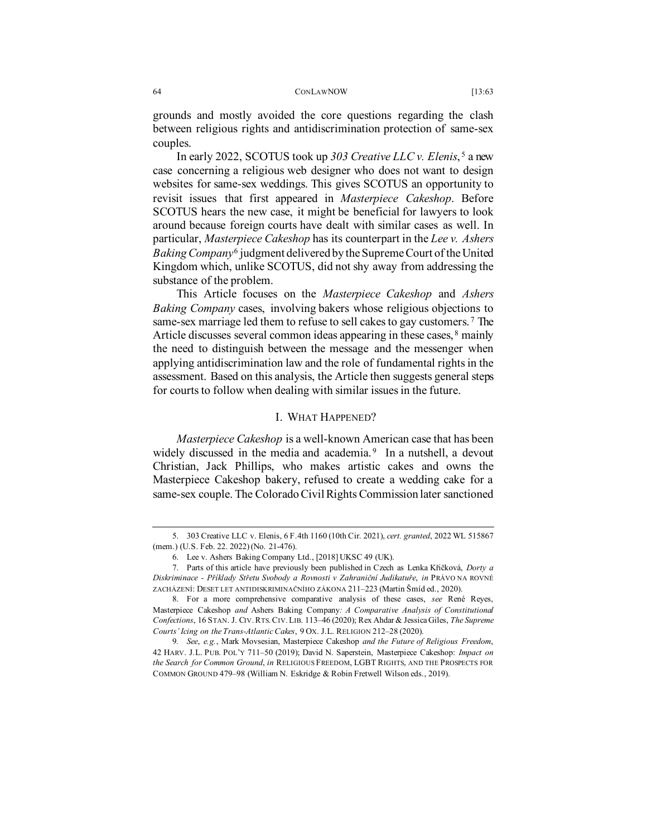between religious rights and antidiscrimination protection of same-sex couples.

In early 2022, SCOTUS took up *303 Creative LLC v. Elenis*, [5](#page-1-0) a new case concerning a religious web designer who does not want to design websites for same-sex weddings. This gives SCOTUS an opportunity to revisit issues that first appeared in *Masterpiece Cakeshop*. Before SCOTUS hears the new case, it might be beneficial for lawyers to look around because foreign courts have dealt with similar cases as well. In particular, *Masterpiece Cakeshop* has its counterpart in the *Lee v. Ashers Baking Company*[6](#page-1-1) judgment delivered by the Supreme Court of the United Kingdom which, unlike SCOTUS, did not shy away from addressing the substance of the problem.

This Article focuses on the *Masterpiece Cakeshop* and *Ashers Baking Company* cases, involving bakers whose religious objections to same-sex marriage led them to refuse to sell cakes to gay customers. [7](#page-1-2) The Article discusses several common ideas appearing in these cases, <sup>[8](#page-1-3)</sup> mainly the need to distinguish between the message and the messenger when applying antidiscrimination law and the role of fundamental rights in the assessment. Based on this analysis, the Article then suggests general steps for courts to follow when dealing with similar issues in the future.

## I. WHAT HAPPENED?

*Masterpiece Cakeshop* is a well-known American case that has been widely discussed in the media and academia.<sup>[9](#page-1-4)</sup> In a nutshell, a devout Christian, Jack Phillips, who makes artistic cakes and owns the Masterpiece Cakeshop bakery, refused to create a wedding cake for a same-sex couple. The Colorado Civil Rights Commission later sanctioned

<span id="page-1-0"></span><sup>5.</sup> 303 Creative LLC v. Elenis, 6 F.4th 1160 (10th Cir. 2021), *cert. granted*, 2022 WL 515867 (mem.) (U.S. Feb. 22. 2022) (No. 21-476).

<sup>6.</sup> Lee v. Ashers Baking Company Ltd., [2018] UKSC 49 (UK).

<span id="page-1-2"></span><span id="page-1-1"></span><sup>7.</sup> Parts of this article have previously been published in Czech as Lenka Křičková, *Dorty a Diskriminace - Příklady Střetu Svobody a Rovnosti v Zahraniční Judikatuře*, *in* PRÁVO NA ROVNÉ ZACHÁZENÍ: DESET LET ANTIDISKRIMINAČNÍHO ZÁKONA 211–223 (Martin Šmíd ed., 2020).

<span id="page-1-3"></span><sup>8.</sup> For a more comprehensive comparative analysis of these cases, *see* René Reyes, Masterpiece Cakeshop *and* Ashers Baking Company*: A Comparative Analysis of Constitutional Confections*, 16 STAN. J. CIV.RTS.CIV.LIB. 113–46 (2020); Rex Ahdar & Jessica Giles, *The Supreme Courts' Icing on the Trans-Atlantic Cakes*, 9 OX. J.L. RELIGION 212–28 (2020).

<span id="page-1-4"></span><sup>9</sup>*. See*, *e.g.*, Mark Movsesian, Masterpiece Cakeshop *and the Future of Religious Freedom*, 42 HARV. J.L. PUB. POL'Y 711–50 (2019); David N. Saperstein, Masterpiece Cakeshop: *Impact on the Search for Common Ground*, *in* RELIGIOUS FREEDOM, LGBT RIGHTS, AND THE PROSPECTS FOR COMMON GROUND 479–98 (William N. Eskridge & Robin Fretwell Wilson eds., 2019).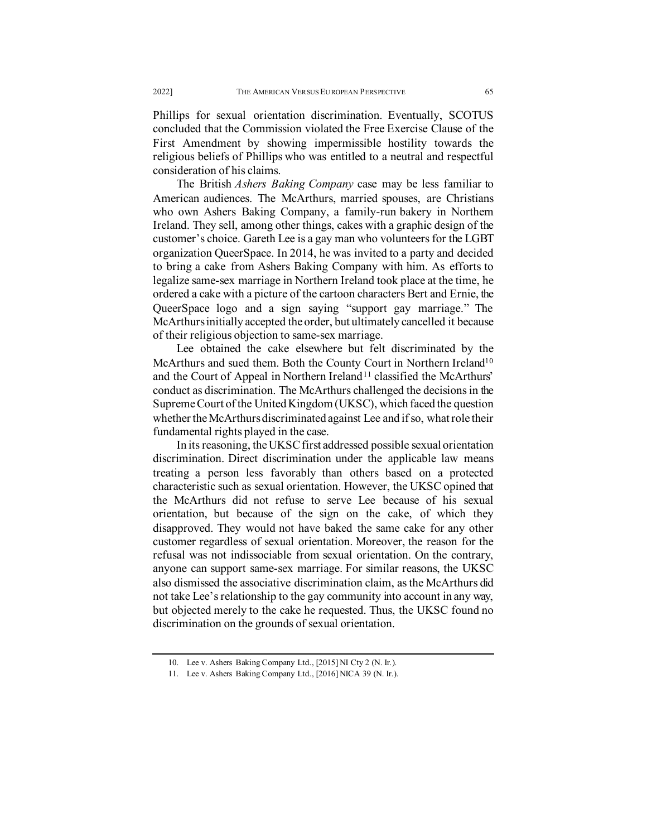Phillips for sexual orientation discrimination. Eventually, SCOTUS concluded that the Commission violated the Free Exercise Clause of the First Amendment by showing impermissible hostility towards the religious beliefs of Phillips who was entitled to a neutral and respectful consideration of his claims.

The British *Ashers Baking Company* case may be less familiar to American audiences. The McArthurs, married spouses, are Christians who own Ashers Baking Company, a family-run bakery in Northern Ireland. They sell, among other things, cakes with a graphic design of the customer's choice. Gareth Lee is a gay man who volunteers for the LGBT organization QueerSpace. In 2014, he was invited to a party and decided to bring a cake from Ashers Baking Company with him. As efforts to legalize same-sex marriage in Northern Ireland took place at the time, he ordered a cake with a picture of the cartoon characters Bert and Ernie, the QueerSpace logo and a sign saying "support gay marriage." The McArthurs initially accepted the order, but ultimately cancelled it because of their religious objection to same-sex marriage.

Lee obtained the cake elsewhere but felt discriminated by the McArthurs and sued them. Both the County Court in Northern Ireland<sup>10</sup> and the Court of Appeal in Northern Ireland<sup>[11](#page-2-1)</sup> classified the McArthurs' conduct as discrimination. The McArthurs challenged the decisions in the Supreme Court of the United Kingdom (UKSC), which faced the question whether the McArthurs discriminated against Lee and if so, what role their fundamental rights played in the case.

In its reasoning, the UKSC first addressed possible sexual orientation discrimination. Direct discrimination under the applicable law means treating a person less favorably than others based on a protected characteristic such as sexual orientation. However, the UKSC opined that the McArthurs did not refuse to serve Lee because of his sexual orientation, but because of the sign on the cake, of which they disapproved. They would not have baked the same cake for any other customer regardless of sexual orientation. Moreover, the reason for the refusal was not indissociable from sexual orientation. On the contrary, anyone can support same-sex marriage. For similar reasons, the UKSC also dismissed the associative discrimination claim, as the McArthurs did not take Lee's relationship to the gay community into account in any way, but objected merely to the cake he requested. Thus, the UKSC found no discrimination on the grounds of sexual orientation.

<sup>10.</sup> Lee v. Ashers Baking Company Ltd., [2015] NI Cty 2 (N. Ir.).

<span id="page-2-1"></span><span id="page-2-0"></span><sup>11.</sup> Lee v. Ashers Baking Company Ltd., [2016] NICA 39 (N. Ir.).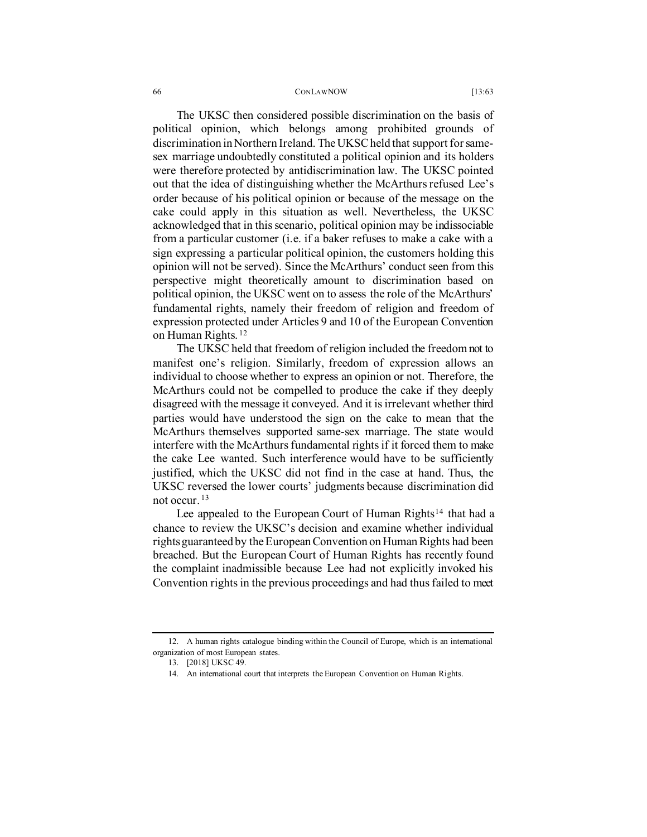#### 66 CONLAWNOW [13:63]

The UKSC then considered possible discrimination on the basis of political opinion, which belongs among prohibited grounds of discrimination in Northern Ireland. The UKSC held that support for samesex marriage undoubtedly constituted a political opinion and its holders were therefore protected by antidiscrimination law. The UKSC pointed out that the idea of distinguishing whether the McArthurs refused Lee's order because of his political opinion or because of the message on the cake could apply in this situation as well. Nevertheless, the UKSC acknowledged that in this scenario, political opinion may be indissociable from a particular customer (i.e. if a baker refuses to make a cake with a sign expressing a particular political opinion, the customers holding this opinion will not be served). Since the McArthurs' conduct seen from this perspective might theoretically amount to discrimination based on political opinion, the UKSC went on to assess the role of the McArthurs' fundamental rights, namely their freedom of religion and freedom of expression protected under Articles 9 and 10 of the European Convention on Human Rights. [12](#page-3-0)

The UKSC held that freedom of religion included the freedom not to manifest one's religion. Similarly, freedom of expression allows an individual to choose whether to express an opinion or not. Therefore, the McArthurs could not be compelled to produce the cake if they deeply disagreed with the message it conveyed. And it is irrelevant whether third parties would have understood the sign on the cake to mean that the McArthurs themselves supported same-sex marriage. The state would interfere with the McArthurs fundamental rights if it forced them to make the cake Lee wanted. Such interference would have to be sufficiently justified, which the UKSC did not find in the case at hand. Thus, the UKSC reversed the lower courts' judgments because discrimination did not occur. [13](#page-3-1)

Lee appealed to the European Court of Human Rights<sup>[14](#page-3-2)</sup> that had a chance to review the UKSC's decision and examine whether individual rights guaranteed by the European Convention on Human Rights had been breached. But the European Court of Human Rights has recently found the complaint inadmissible because Lee had not explicitly invoked his Convention rights in the previous proceedings and had thus failed to meet

<span id="page-3-2"></span><span id="page-3-1"></span><span id="page-3-0"></span><sup>12.</sup> A human rights catalogue binding within the Council of Europe, which is an international organization of most European states.

<sup>13.</sup> [2018] UKSC 49.

<sup>14.</sup> An international court that interprets the European Convention on Human Rights.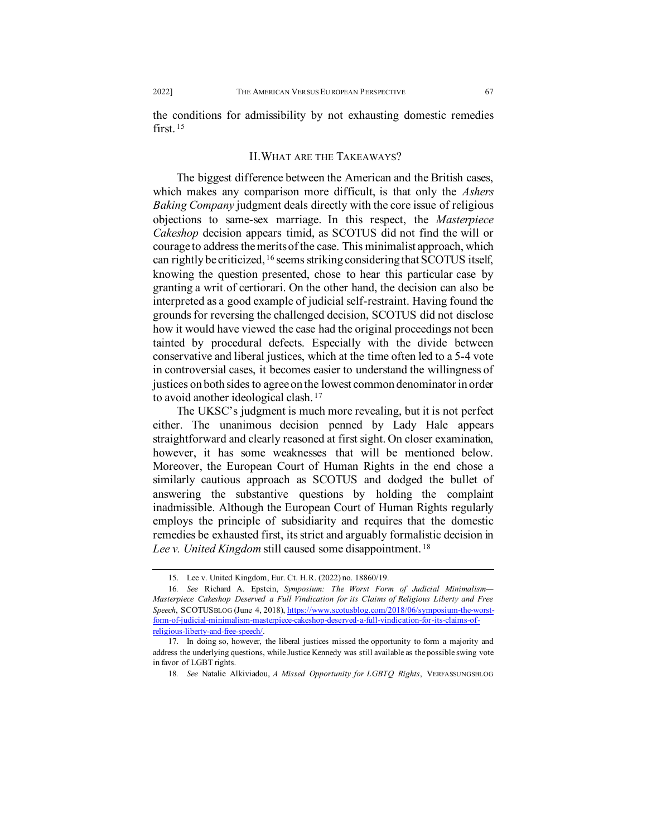the conditions for admissibility by not exhausting domestic remedies first. [15](#page-4-0)

# II.WHAT ARE THE TAKEAWAYS?

The biggest difference between the American and the British cases, which makes any comparison more difficult, is that only the *Ashers Baking Company* judgment deals directly with the core issue of religious objections to same-sex marriage. In this respect, the *Masterpiece Cakeshop* decision appears timid, as SCOTUS did not find the will or courage to address the merits of the case. This minimalist approach, which can rightly be criticized, [16](#page-4-1) seems striking considering that SCOTUS itself, knowing the question presented, chose to hear this particular case by granting a writ of certiorari. On the other hand, the decision can also be interpreted as a good example of judicial self-restraint. Having found the grounds for reversing the challenged decision, SCOTUS did not disclose how it would have viewed the case had the original proceedings not been tainted by procedural defects. Especially with the divide between conservative and liberal justices, which at the time often led to a 5-4 vote in controversial cases, it becomes easier to understand the willingness of justices on both sides to agree on the lowest common denominator in order to avoid another ideological clash. [17](#page-4-2)

The UKSC's judgment is much more revealing, but it is not perfect either. The unanimous decision penned by Lady Hale appears straightforward and clearly reasoned at first sight. On closer examination, however, it has some weaknesses that will be mentioned below. Moreover, the European Court of Human Rights in the end chose a similarly cautious approach as SCOTUS and dodged the bullet of answering the substantive questions by holding the complaint inadmissible. Although the European Court of Human Rights regularly employs the principle of subsidiarity and requires that the domestic remedies be exhausted first, its strict and arguably formalistic decision in *Lee v. United Kingdom* still caused some disappointment. [18](#page-4-3)

<sup>15.</sup> Lee v. United Kingdom, Eur. Ct. H.R. (2022) no. 18860/19.

<span id="page-4-1"></span><span id="page-4-0"></span><sup>16</sup>*. See* Richard A. Epstein, *Symposium: The Worst Form of Judicial Minimalism— Masterpiece Cakeshop Deserved a Full Vindication for its Claims of Religious Liberty and Free Speech*, SCOTUSBLOG (June 4, 2018), [https://www.scotusblog.com/2018/06/symposium-the-worst](https://www.scotusblog.com/2018/06/symposium-the-worst-form-of-judicial-minimalism-masterpiece-cakeshop-deserved-a-full-vindication-for-its-claims-of-religious-liberty-and-free-speech/)[form-of-judicial-minimalism-masterpiece-cakeshop-deserved-a-full-vindication-for-its-claims-of](https://www.scotusblog.com/2018/06/symposium-the-worst-form-of-judicial-minimalism-masterpiece-cakeshop-deserved-a-full-vindication-for-its-claims-of-religious-liberty-and-free-speech/)[religious-liberty-and-free-speech/.](https://www.scotusblog.com/2018/06/symposium-the-worst-form-of-judicial-minimalism-masterpiece-cakeshop-deserved-a-full-vindication-for-its-claims-of-religious-liberty-and-free-speech/) 

<span id="page-4-3"></span><span id="page-4-2"></span><sup>17.</sup> In doing so, however, the liberal justices missed the opportunity to form a majority and address the underlying questions, while Justice Kennedy was still available as the possible swing vote in favor of LGBT rights.

<sup>18</sup>*. See* Natalie Alkiviadou, *A Missed Opportunity for LGBTQ Rights*, VERFASSUNGSBLOG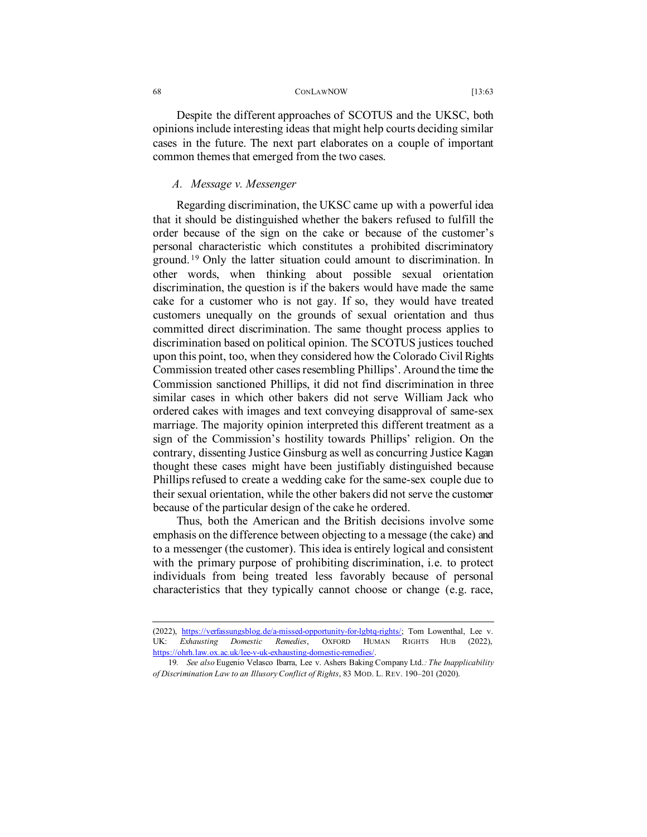#### 68 CONLAWNOW [13:63]

Despite the different approaches of SCOTUS and the UKSC, both opinions include interesting ideas that might help courts deciding similar cases in the future. The next part elaborates on a couple of important common themes that emerged from the two cases.

## *A. Message v. Messenger*

Regarding discrimination, the UKSC came up with a powerful idea that it should be distinguished whether the bakers refused to fulfill the order because of the sign on the cake or because of the customer's personal characteristic which constitutes a prohibited discriminatory ground. [19](#page-5-0) Only the latter situation could amount to discrimination. In other words, when thinking about possible sexual orientation discrimination, the question is if the bakers would have made the same cake for a customer who is not gay. If so, they would have treated customers unequally on the grounds of sexual orientation and thus committed direct discrimination. The same thought process applies to discrimination based on political opinion. The SCOTUS justices touched upon this point, too, when they considered how the Colorado Civil Rights Commission treated other cases resembling Phillips'. Around the time the Commission sanctioned Phillips, it did not find discrimination in three similar cases in which other bakers did not serve William Jack who ordered cakes with images and text conveying disapproval of same-sex marriage. The majority opinion interpreted this different treatment as a sign of the Commission's hostility towards Phillips' religion. On the contrary, dissenting Justice Ginsburg as well as concurring Justice Kagan thought these cases might have been justifiably distinguished because Phillips refused to create a wedding cake for the same-sex couple due to their sexual orientation, while the other bakers did not serve the customer because of the particular design of the cake he ordered.

Thus, both the American and the British decisions involve some emphasis on the difference between objecting to a message (the cake) and to a messenger (the customer). This idea is entirely logical and consistent with the primary purpose of prohibiting discrimination, i.e. to protect individuals from being treated less favorably because of personal characteristics that they typically cannot choose or change (e.g. race,

<sup>(2022),</sup> [https://verfassungsblog.de/a-missed-opportunity-for-lgbtq-rights/;](https://verfassungsblog.de/a-missed-opportunity-for-lgbtq-rights/) Tom Lowenthal, Lee v. UK: *Exhausting Domestic Remedies*, OXFORD HUMAN RIGHTS HUB (2022), [https://ohrh.law.ox.ac.uk/lee-v-uk-exhausting-domestic-remedies/.](https://ohrh.law.ox.ac.uk/lee-v-uk-exhausting-domestic-remedies/) 

<span id="page-5-0"></span><sup>19</sup>*. See also* Eugenio Velasco Ibarra, Lee v. Ashers Baking Company Ltd.*: The Inapplicability of Discrimination Law to an Illusory Conflict of Rights*, 83 MOD. L. REV. 190–201 (2020).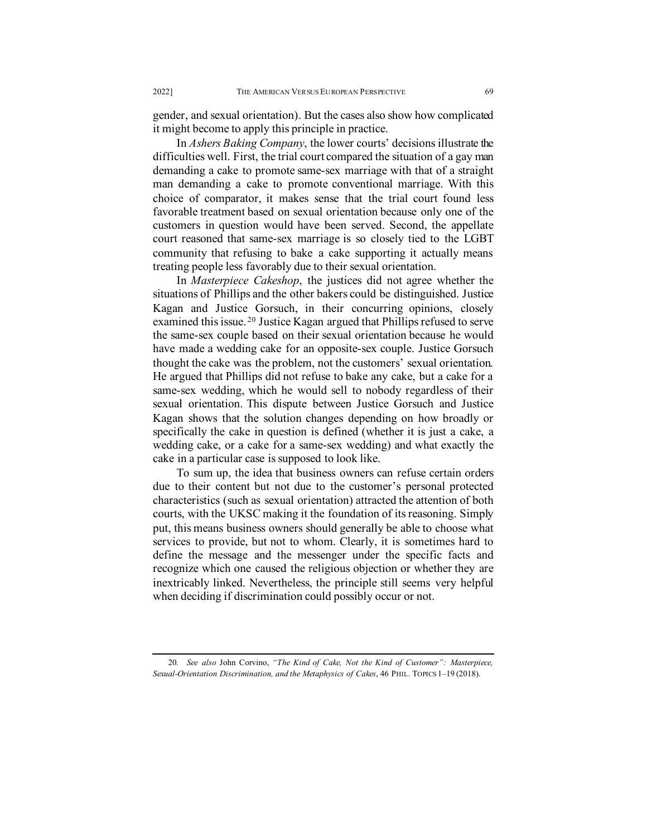gender, and sexual orientation). But the cases also show how complicated it might become to apply this principle in practice.

In *Ashers Baking Company*, the lower courts' decisions illustrate the difficulties well. First, the trial court compared the situation of a gay man demanding a cake to promote same-sex marriage with that of a straight man demanding a cake to promote conventional marriage. With this choice of comparator, it makes sense that the trial court found less favorable treatment based on sexual orientation because only one of the customers in question would have been served. Second, the appellate court reasoned that same-sex marriage is so closely tied to the LGBT community that refusing to bake a cake supporting it actually means treating people less favorably due to their sexual orientation.

In *Masterpiece Cakeshop*, the justices did not agree whether the situations of Phillips and the other bakers could be distinguished. Justice Kagan and Justice Gorsuch, in their concurring opinions, closely examined this issue. [20](#page-6-0) Justice Kagan argued that Phillips refused to serve the same-sex couple based on their sexual orientation because he would have made a wedding cake for an opposite-sex couple. Justice Gorsuch thought the cake was the problem, not the customers' sexual orientation. He argued that Phillips did not refuse to bake any cake, but a cake for a same-sex wedding, which he would sell to nobody regardless of their sexual orientation. This dispute between Justice Gorsuch and Justice Kagan shows that the solution changes depending on how broadly or specifically the cake in question is defined (whether it is just a cake, a wedding cake, or a cake for a same-sex wedding) and what exactly the cake in a particular case is supposed to look like.

To sum up, the idea that business owners can refuse certain orders due to their content but not due to the customer's personal protected characteristics (such as sexual orientation) attracted the attention of both courts, with the UKSC making it the foundation of its reasoning. Simply put, this means business owners should generally be able to choose what services to provide, but not to whom. Clearly, it is sometimes hard to define the message and the messenger under the specific facts and recognize which one caused the religious objection or whether they are inextricably linked. Nevertheless, the principle still seems very helpful when deciding if discrimination could possibly occur or not.

<span id="page-6-0"></span><sup>20</sup>*. See also* John Corvino, *"The Kind of Cake, Not the Kind of Customer": Masterpiece, Sexual-Orientation Discrimination, and the Metaphysics of Cakes*, 46 PHIL. TOPICS 1–19 (2018).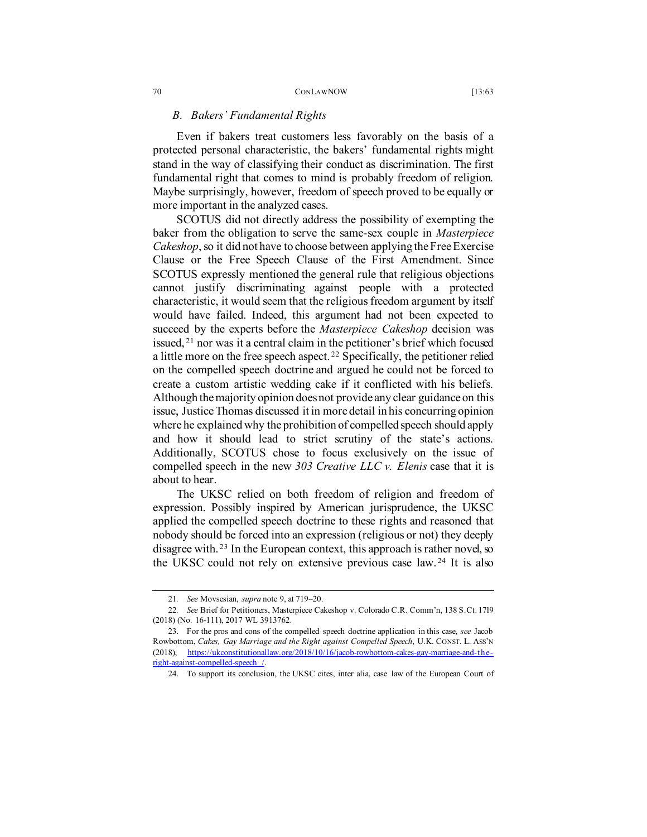# *B. Bakers' Fundamental Rights*

Even if bakers treat customers less favorably on the basis of a protected personal characteristic, the bakers' fundamental rights might stand in the way of classifying their conduct as discrimination. The first fundamental right that comes to mind is probably freedom of religion. Maybe surprisingly, however, freedom of speech proved to be equally or more important in the analyzed cases.

SCOTUS did not directly address the possibility of exempting the baker from the obligation to serve the same-sex couple in *Masterpiece Cakeshop*, so it did not have to choose between applying the Free Exercise Clause or the Free Speech Clause of the First Amendment. Since SCOTUS expressly mentioned the general rule that religious objections cannot justify discriminating against people with a protected characteristic, it would seem that the religious freedom argument by itself would have failed. Indeed, this argument had not been expected to succeed by the experts before the *Masterpiece Cakeshop* decision was issued, [21](#page-7-0) nor was it a central claim in the petitioner's brief which focused a little more on the free speech aspect.<sup>[22](#page-7-1)</sup> Specifically, the petitioner relied on the compelled speech doctrine and argued he could not be forced to create a custom artistic wedding cake if it conflicted with his beliefs. Although the majority opinion does not provide any clear guidance on this issue, Justice Thomas discussed it in more detail in his concurring opinion where he explained why the prohibition of compelled speech should apply and how it should lead to strict scrutiny of the state's actions. Additionally, SCOTUS chose to focus exclusively on the issue of compelled speech in the new *303 Creative LLC v. Elenis* case that it is about to hear.

The UKSC relied on both freedom of religion and freedom of expression. Possibly inspired by American jurisprudence, the UKSC applied the compelled speech doctrine to these rights and reasoned that nobody should be forced into an expression (religious or not) they deeply disagree with. [23](#page-7-2) In the European context, this approach is rather novel, so the UKSC could not rely on extensive previous case law. [24](#page-7-3) It is also

<sup>21</sup>*. See* Movsesian, *supra* note 9, at 719–20.

<span id="page-7-1"></span><span id="page-7-0"></span><sup>22</sup>*. See* Brief for Petitioners, Masterpiece Cakeshop v. Colorado C.R. Comm'n, 138 S.Ct. 1719 (2018) (No. 16-111), 2017 WL 3913762.

<span id="page-7-3"></span><span id="page-7-2"></span><sup>23.</sup> For the pros and cons of the compelled speech doctrine application in this case, *see* Jacob Rowbottom, *Cakes, Gay Marriage and the Right against Compelled Speech*, U.K. CONST. L. ASS'N (2018), [https://ukconstitutionallaw.org/2018/10/16/jacob-rowbottom-cakes-gay-marriage-and-the](https://ukconstitutionallaw.org/2018/10/16/jacob-rowbottom-cakes-gay-marriage-and-the-right-against-compelled-speech%20/)[right-against-compelled-speech /.](https://ukconstitutionallaw.org/2018/10/16/jacob-rowbottom-cakes-gay-marriage-and-the-right-against-compelled-speech%20/)

<sup>24.</sup> To support its conclusion, the UKSC cites, inter alia, case law of the European Court of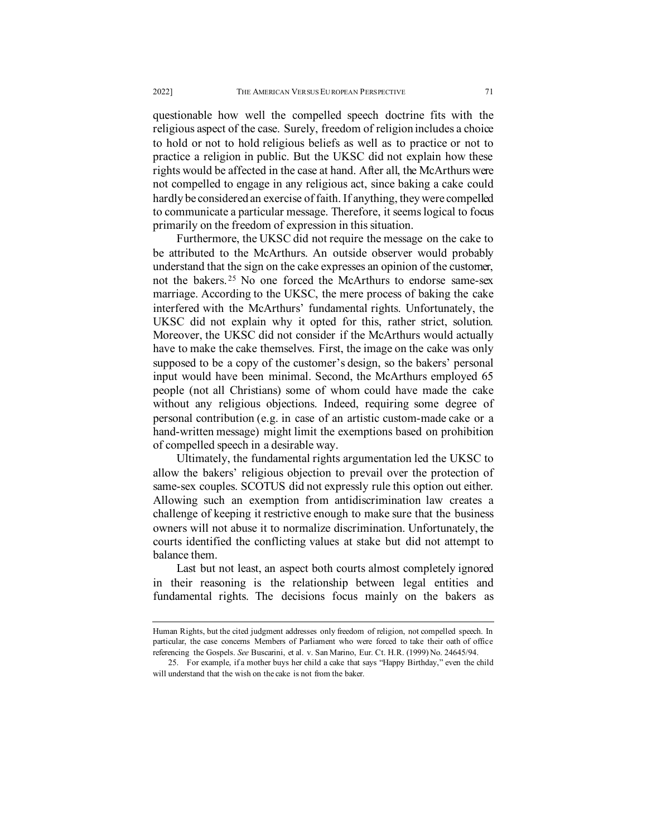questionable how well the compelled speech doctrine fits with the religious aspect of the case. Surely, freedom of religion includes a choice to hold or not to hold religious beliefs as well as to practice or not to practice a religion in public. But the UKSC did not explain how these rights would be affected in the case at hand. After all, the McArthurs were not compelled to engage in any religious act, since baking a cake could hardly be considered an exercise of faith. If anything, they were compelled to communicate a particular message. Therefore, it seems logical to focus primarily on the freedom of expression in this situation.

Furthermore, the UKSC did not require the message on the cake to be attributed to the McArthurs. An outside observer would probably understand that the sign on the cake expresses an opinion of the customer, not the bakers. [25](#page-8-0) No one forced the McArthurs to endorse same-sex marriage. According to the UKSC, the mere process of baking the cake interfered with the McArthurs' fundamental rights. Unfortunately, the UKSC did not explain why it opted for this, rather strict, solution. Moreover, the UKSC did not consider if the McArthurs would actually have to make the cake themselves. First, the image on the cake was only supposed to be a copy of the customer's design, so the bakers' personal input would have been minimal. Second, the McArthurs employed 65 people (not all Christians) some of whom could have made the cake without any religious objections. Indeed, requiring some degree of personal contribution (e.g. in case of an artistic custom-made cake or a hand-written message) might limit the exemptions based on prohibition of compelled speech in a desirable way.

Ultimately, the fundamental rights argumentation led the UKSC to allow the bakers' religious objection to prevail over the protection of same-sex couples. SCOTUS did not expressly rule this option out either. Allowing such an exemption from antidiscrimination law creates a challenge of keeping it restrictive enough to make sure that the business owners will not abuse it to normalize discrimination. Unfortunately, the courts identified the conflicting values at stake but did not attempt to balance them.

Last but not least, an aspect both courts almost completely ignored in their reasoning is the relationship between legal entities and fundamental rights. The decisions focus mainly on the bakers as

Human Rights, but the cited judgment addresses only freedom of religion, not compelled speech. In particular, the case concerns Members of Parliament who were forced to take their oath of office referencing the Gospels. *See* Buscarini, et al. v. San Marino, Eur. Ct. H.R. (1999) No. 24645/94.

<span id="page-8-0"></span><sup>25.</sup> For example, if a mother buys her child a cake that says "Happy Birthday," even the child will understand that the wish on the cake is not from the baker.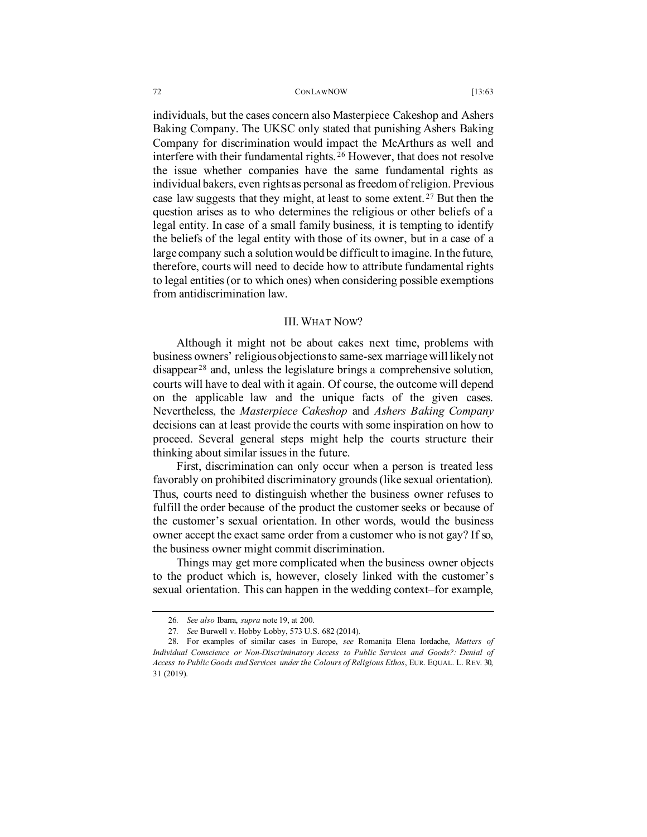#### 72 CONLAWNOW [13:63

individuals, but the cases concern also Masterpiece Cakeshop and Ashers Baking Company. The UKSC only stated that punishing Ashers Baking Company for discrimination would impact the McArthurs as well and interfere with their fundamental rights. [26](#page-9-0) However, that does not resolve the issue whether companies have the same fundamental rights as individual bakers, even rights as personal as freedom of religion. Previous case law suggests that they might, at least to some extent. [27](#page-9-1) But then the question arises as to who determines the religious or other beliefs of a legal entity. In case of a small family business, it is tempting to identify the beliefs of the legal entity with those of its owner, but in a case of a large company such a solutionwould be difficult to imagine. In the future, therefore, courts will need to decide how to attribute fundamental rights to legal entities (or to which ones) when considering possible exemptions from antidiscrimination law.

### III. WHAT NOW?

Although it might not be about cakes next time, problems with business owners' religious objections to same-sex marriage will likely not disappear [28](#page-9-2) and, unless the legislature brings a comprehensive solution, courts will have to deal with it again. Of course, the outcome will depend on the applicable law and the unique facts of the given cases. Nevertheless, the *Masterpiece Cakeshop* and *Ashers Baking Company* decisions can at least provide the courts with some inspiration on how to proceed. Several general steps might help the courts structure their thinking about similar issues in the future.

First, discrimination can only occur when a person is treated less favorably on prohibited discriminatory grounds (like sexual orientation). Thus, courts need to distinguish whether the business owner refuses to fulfill the order because of the product the customer seeks or because of the customer's sexual orientation. In other words, would the business owner accept the exact same order from a customer who is not gay? If so, the business owner might commit discrimination.

Things may get more complicated when the business owner objects to the product which is, however, closely linked with the customer's sexual orientation. This can happen in the wedding context–for example,

<sup>26</sup>*. See also* Ibarra, *supra* note 19, at 200.

<sup>27</sup>*. See* Burwell v. Hobby Lobby, 573 U.S. 682 (2014).

<span id="page-9-2"></span><span id="page-9-1"></span><span id="page-9-0"></span><sup>28.</sup> For examples of similar cases in Europe, *see* Romanița Elena Iordache, *Matters of Individual Conscience or Non-Discriminatory Access to Public Services and Goods?: Denial of Access to Public Goods and Services under the Colours of Religious Ethos*, EUR. EQUAL. L. REV. 30, 31 (2019).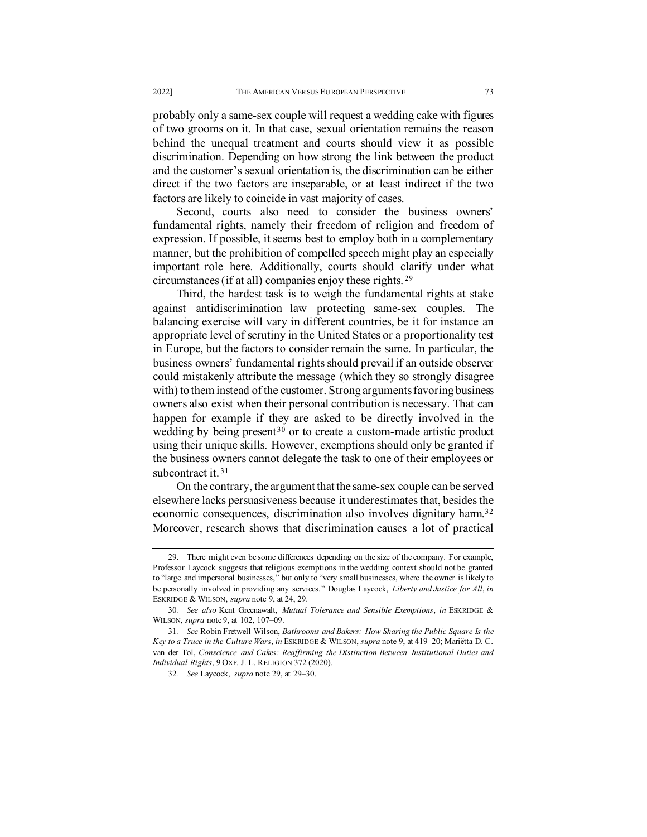probably only a same-sex couple will request a wedding cake with figures of two grooms on it. In that case, sexual orientation remains the reason behind the unequal treatment and courts should view it as possible discrimination. Depending on how strong the link between the product and the customer's sexual orientation is, the discrimination can be either direct if the two factors are inseparable, or at least indirect if the two factors are likely to coincide in vast majority of cases.

Second, courts also need to consider the business owners' fundamental rights, namely their freedom of religion and freedom of expression. If possible, it seems best to employ both in a complementary manner, but the prohibition of compelled speech might play an especially important role here. Additionally, courts should clarify under what circumstances (if at all) companies enjoy these rights. [29](#page-10-0)

Third, the hardest task is to weigh the fundamental rights at stake against antidiscrimination law protecting same-sex couples. The balancing exercise will vary in different countries, be it for instance an appropriate level of scrutiny in the United States or a proportionality test in Europe, but the factors to consider remain the same. In particular, the business owners' fundamental rights should prevail if an outside observer could mistakenly attribute the message (which they so strongly disagree with) to them instead of the customer. Strong arguments favoring business owners also exist when their personal contribution is necessary. That can happen for example if they are asked to be directly involved in the wedding by being present<sup>[30](#page-10-1)</sup> or to create a custom-made artistic product using their unique skills. However, exemptions should only be granted if the business owners cannot delegate the task to one of their employees or subcontract it.<sup>[31](#page-10-2)</sup>

On the contrary, the argument that the same-sex couple can be served elsewhere lacks persuasiveness because it underestimates that, besides the economic consequences, discrimination also involves dignitary harm.<sup>[32](#page-10-3)</sup> Moreover, research shows that discrimination causes a lot of practical

<span id="page-10-0"></span><sup>29.</sup> There might even be some differences depending on the size of the company. For example, Professor Laycock suggests that religious exemptions in the wedding context should not be granted to "large and impersonal businesses," but only to "very small businesses, where the owner is likely to be personally involved in providing any services." Douglas Laycock, *Liberty and Justice for All*, *in*  ESKRIDGE & WILSON, *supra* note 9, at 24, 29.

<span id="page-10-1"></span><sup>30</sup>*. See also* Kent Greenawalt, *Mutual Tolerance and Sensible Exemptions*, *in* ESKRIDGE & WILSON, *supra* note 9, at 102, 107–09.

<span id="page-10-3"></span><span id="page-10-2"></span><sup>31</sup>*. See* Robin Fretwell Wilson, *Bathrooms and Bakers: How Sharing the Public Square Is the Key to a Truce in the Culture Wars*, *in* ESKRIDGE & WILSON, *supra* note 9, at 419–20; Mariëtta D. C. van der Tol, *Conscience and Cakes: Reaffirming the Distinction Between Institutional Duties and Individual Rights*, 9 OXF. J. L. RELIGION 372 (2020).

<sup>32</sup>*. See* Laycock, *supra* note 29, at 29–30.